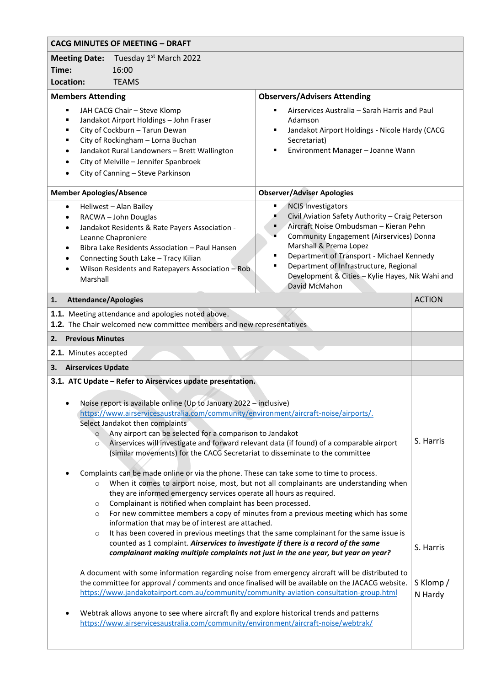| <b>CACG MINUTES OF MEETING - DRAFT</b>                                                                                                                                                                                                                                                                                                                                                                                                                                                                                                                                                                                                                                                                                                                                                                                                                                                                                                                                                                                                                                                                                                                                                                                                                                                                              |                                                                                                                                                                                                                                                                                                                                                                       |                        |
|---------------------------------------------------------------------------------------------------------------------------------------------------------------------------------------------------------------------------------------------------------------------------------------------------------------------------------------------------------------------------------------------------------------------------------------------------------------------------------------------------------------------------------------------------------------------------------------------------------------------------------------------------------------------------------------------------------------------------------------------------------------------------------------------------------------------------------------------------------------------------------------------------------------------------------------------------------------------------------------------------------------------------------------------------------------------------------------------------------------------------------------------------------------------------------------------------------------------------------------------------------------------------------------------------------------------|-----------------------------------------------------------------------------------------------------------------------------------------------------------------------------------------------------------------------------------------------------------------------------------------------------------------------------------------------------------------------|------------------------|
| Tuesday 1 <sup>st</sup> March 2022<br><b>Meeting Date:</b>                                                                                                                                                                                                                                                                                                                                                                                                                                                                                                                                                                                                                                                                                                                                                                                                                                                                                                                                                                                                                                                                                                                                                                                                                                                          |                                                                                                                                                                                                                                                                                                                                                                       |                        |
| Time:<br>16:00                                                                                                                                                                                                                                                                                                                                                                                                                                                                                                                                                                                                                                                                                                                                                                                                                                                                                                                                                                                                                                                                                                                                                                                                                                                                                                      |                                                                                                                                                                                                                                                                                                                                                                       |                        |
| Location:<br><b>TEAMS</b>                                                                                                                                                                                                                                                                                                                                                                                                                                                                                                                                                                                                                                                                                                                                                                                                                                                                                                                                                                                                                                                                                                                                                                                                                                                                                           |                                                                                                                                                                                                                                                                                                                                                                       |                        |
| <b>Members Attending</b>                                                                                                                                                                                                                                                                                                                                                                                                                                                                                                                                                                                                                                                                                                                                                                                                                                                                                                                                                                                                                                                                                                                                                                                                                                                                                            | <b>Observers/Advisers Attending</b>                                                                                                                                                                                                                                                                                                                                   |                        |
| JAH CACG Chair - Steve Klomp<br>٠<br>Jandakot Airport Holdings - John Fraser<br>$\blacksquare$<br>City of Cockburn - Tarun Dewan<br>٠<br>City of Rockingham - Lorna Buchan<br>٠<br>Jandakot Rural Landowners - Brett Wallington<br>$\bullet$<br>City of Melville - Jennifer Spanbroek<br>City of Canning - Steve Parkinson                                                                                                                                                                                                                                                                                                                                                                                                                                                                                                                                                                                                                                                                                                                                                                                                                                                                                                                                                                                          | Airservices Australia - Sarah Harris and Paul<br>٠<br>Adamson<br>Jandakot Airport Holdings - Nicole Hardy (CACG<br>Secretariat)<br>Environment Manager - Joanne Wann                                                                                                                                                                                                  |                        |
| <b>Member Apologies/Absence</b>                                                                                                                                                                                                                                                                                                                                                                                                                                                                                                                                                                                                                                                                                                                                                                                                                                                                                                                                                                                                                                                                                                                                                                                                                                                                                     | <b>Observer/Adviser Apologies</b>                                                                                                                                                                                                                                                                                                                                     |                        |
| Heliwest - Alan Bailey<br>$\bullet$<br>RACWA - John Douglas<br>$\bullet$<br>Jandakot Residents & Rate Payers Association -<br>$\bullet$<br>Leanne Chaproniere<br>Bibra Lake Residents Association - Paul Hansen<br>$\bullet$<br>Connecting South Lake - Tracy Kilian<br>Wilson Residents and Ratepayers Association - Rob<br>Marshall                                                                                                                                                                                                                                                                                                                                                                                                                                                                                                                                                                                                                                                                                                                                                                                                                                                                                                                                                                               | <b>NCIS Investigators</b><br>Civil Aviation Safety Authority - Craig Peterson<br>Aircraft Noise Ombudsman - Kieran Pehn<br><b>Community Engagement (Airservices) Donna</b><br>Marshall & Prema Lopez<br>Department of Transport - Michael Kennedy<br>٠<br>Department of Infrastructure, Regional<br>Development & Cities - Kylie Hayes, Nik Wahi and<br>David McMahon |                        |
| <b>Attendance/Apologies</b><br>1.                                                                                                                                                                                                                                                                                                                                                                                                                                                                                                                                                                                                                                                                                                                                                                                                                                                                                                                                                                                                                                                                                                                                                                                                                                                                                   |                                                                                                                                                                                                                                                                                                                                                                       | <b>ACTION</b>          |
| 1.1. Meeting attendance and apologies noted above.<br>1.2. The Chair welcomed new committee members and new representatives                                                                                                                                                                                                                                                                                                                                                                                                                                                                                                                                                                                                                                                                                                                                                                                                                                                                                                                                                                                                                                                                                                                                                                                         |                                                                                                                                                                                                                                                                                                                                                                       |                        |
| 2.<br><b>Previous Minutes</b>                                                                                                                                                                                                                                                                                                                                                                                                                                                                                                                                                                                                                                                                                                                                                                                                                                                                                                                                                                                                                                                                                                                                                                                                                                                                                       |                                                                                                                                                                                                                                                                                                                                                                       |                        |
| 2.1. Minutes accepted                                                                                                                                                                                                                                                                                                                                                                                                                                                                                                                                                                                                                                                                                                                                                                                                                                                                                                                                                                                                                                                                                                                                                                                                                                                                                               |                                                                                                                                                                                                                                                                                                                                                                       |                        |
| 3.<br><b>Airservices Update</b>                                                                                                                                                                                                                                                                                                                                                                                                                                                                                                                                                                                                                                                                                                                                                                                                                                                                                                                                                                                                                                                                                                                                                                                                                                                                                     |                                                                                                                                                                                                                                                                                                                                                                       |                        |
| 3.1. ATC Update - Refer to Airservices update presentation.<br>Noise report is available online (Up to January 2022 - inclusive)<br>https://www.airservicesaustralia.com/community/environment/aircraft-noise/airports/.<br>Select Jandakot then complaints<br>Any airport can be selected for a comparison to Jandakot<br>$\circ$<br>Airservices will investigate and forward relevant data (if found) of a comparable airport<br>$\circ$<br>(similar movements) for the CACG Secretariat to disseminate to the committee<br>Complaints can be made online or via the phone. These can take some to time to process.<br>When it comes to airport noise, most, but not all complainants are understanding when<br>$\circ$<br>they are informed emergency services operate all hours as required.<br>Complainant is notified when complaint has been processed.<br>$\circ$<br>For new committee members a copy of minutes from a previous meeting which has some<br>$\circ$<br>information that may be of interest are attached.<br>It has been covered in previous meetings that the same complainant for the same issue is<br>$\circ$<br>counted as 1 complaint. Airservices to investigate if there is a record of the same<br>complainant making multiple complaints not just in the one year, but year on year? |                                                                                                                                                                                                                                                                                                                                                                       | S. Harris<br>S. Harris |
| A document with some information regarding noise from emergency aircraft will be distributed to<br>the committee for approval / comments and once finalised will be available on the JACACG website.<br>https://www.jandakotairport.com.au/community/community-aviation-consultation-group.html<br>Webtrak allows anyone to see where aircraft fly and explore historical trends and patterns<br>https://www.airservicesaustralia.com/community/environment/aircraft-noise/webtrak/                                                                                                                                                                                                                                                                                                                                                                                                                                                                                                                                                                                                                                                                                                                                                                                                                                 |                                                                                                                                                                                                                                                                                                                                                                       | S Klomp/<br>N Hardy    |